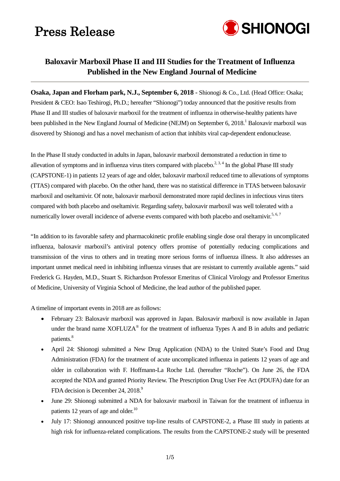

n<br>I

### **Baloxavir Marboxil Phase II and III Studies for the Treatment of Influenza Published in the New England Journal of Medicine**

**Osaka, Japan and Florham park, N.J., September 6, 2018** - Shionogi & Co., Ltd. (Head Office: Osaka; President & CEO: Isao Teshirogi, Ph.D.; hereafter "Shionogi") today announced that the positive results from Phase II and III studies of baloxavir marboxil for the treatment of influenza in otherwise-healthy patients have been published in the New England Journal of Medicine (NEJM) on September 6, 2018.<sup>1</sup> Baloxavir marboxil was disovered by Shionogi and has a novel mechanism of action that inhibits viral cap-dependent endonuclease.

In the Phase II study conducted in adults in Japan, baloxavir marboxil demonstrated a reduction in time to allevation of symptoms and in influenza virus titers compared with placebo.<sup>2, 3, 4</sup> In the global Phase III study (CAPSTONE-1) in patients 12 years of age and older, baloxavir marboxil reduced time to allevations of symptoms (TTAS) compared with placebo. On the other hand, there was no statistical difference in TTAS between baloxavir marboxil and oseltamivir. Of note, baloxavir marboxil demonstrated more rapid declines in infectious virus titers compared with both placebo and oseltamivir. Regarding safety, baloxavir marboxil was well tolerated with a numerically lower overall incidence of adverse events compared with both placebo and oseltamivir.<sup>5, 6, 7</sup>

"In addition to its favorable safety and pharmacokinetic profile enabling single dose oral therapy in uncomplicated influenza, baloxavir marboxil's antiviral potency offers promise of potentially reducing complications and transmission of the virus to others and in treating more serious forms of influenza illness. It also addresses an important unmet medical need in inhibiting influenza viruses that are resistant to currently available agents." said Frederick G. Hayden, M.D., Stuart S. Richardson Professor Emeritus of Clinical Virology and Professor Emeritus of Medicine, University of Virginia School of Medicine, the lead author of the published paper.

A timeline of important events in 2018 are as follows:

- February 23: Baloxavir marboxil was approved in Japan. Baloxavir marboxil is now available in Japan under the brand name XOFLUZA<sup>®</sup> for the treatment of influenza Types A and B in adults and pediatric patients.<sup>8</sup>
- April 24: Shionogi submitted a New Drug Application (NDA) to the United State's Food and Drug Administration (FDA) for the treatment of acute uncomplicated influenza in patients 12 years of age and older in collaboration with F. Hoffmann-La Roche Ltd. (hereafter "Roche"). On June 26, the FDA accepted the NDA and granted Priority Review. The Prescription Drug User Fee Act (PDUFA) date for an FDA decision is December 24, 2018.<sup>9</sup>
- June 29: Shionogi submitted a NDA for baloxavir marboxil in Taiwan for the treatment of influenza in patients 12 years of age and older.<sup>10</sup>
- July 17: Shionogi announced positive top-line results of CAPSTONE-2, a Phase III study in patients at high risk for influenza-related complications. The results from the CAPSTONE-2 study will be presented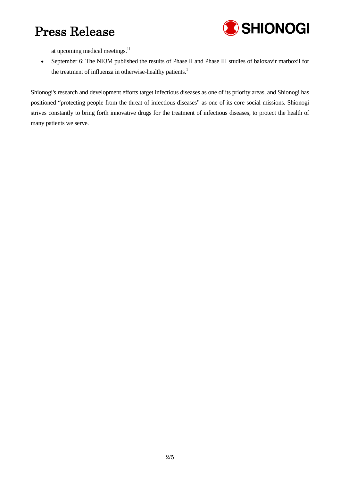

at upcoming medical meetings.<sup>11</sup>

• September 6: The NEJM published the results of Phase II and Phase III studies of baloxavir marboxil for the treatment of influenza in otherwise-healthy patients.<sup>1</sup>

Shionogi's research and development efforts target infectious diseases as one of its priority areas, and Shionogi has positioned "protecting people from the threat of infectious diseases" as one of its core social missions. Shionogi strives constantly to bring forth innovative drugs for the treatment of infectious diseases, to protect the health of many patients we serve.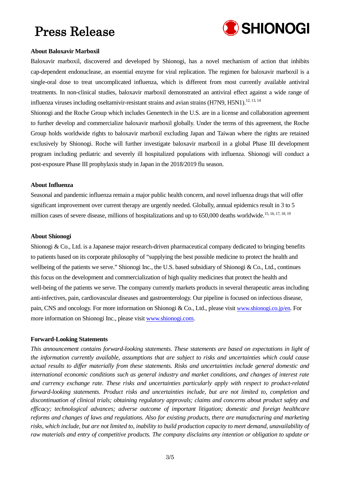

#### **About Baloxavir Marboxil**

Baloxavir marboxil, discovered and developed by Shionogi, has a novel mechanism of action that inhibits cap-dependent endonuclease, an essential enzyme for viral replication. The regimen for baloxavir marboxil is a single-oral dose to treat uncomplicated influenza, which is different from most currently available antiviral treatments. In non-clinical studies, baloxavir marboxil demonstrated an antiviral effect against a wide range of influenza viruses including oseltamivir-resistant strains and avian strains (H7N9, H5N1).<sup>12, 13, 14</sup>

Shionogi and the Roche Group which includes Genentech in the U.S. are in a license and collaboration agreement to further develop and commercialize baloxavir marboxil globally. Under the terms of this agreement, the Roche Group holds worldwide rights to baloxavir marboxil excluding Japan and Taiwan where the rights are retained exclusively by Shionogi. Roche will further investigate baloxavir marboxil in a global Phase III development program including pediatric and severely ill hospitalized populations with influenza. Shionogi will conduct a post-exposure Phase III prophylaxis study in Japan in the 2018/2019 flu season.

#### **About Influenza**

Seasonal and pandemic influenza remain a major public health concern, and novel influenza drugs that will offer significant improvement over current therapy are urgently needed. Globally, annual epidemics result in 3 to 5 million cases of severe disease, millions of hospitalizations and up to 650,000 deaths worldwide.<sup>15, 16, 17, 18, 19</sup>

#### **About Shionogi**

Shionogi & Co., Ltd. is a Japanese major research-driven pharmaceutical company dedicated to bringing benefits to patients based on its corporate philosophy of "supplying the best possible medicine to protect the health and wellbeing of the patients we serve." Shionogi Inc., the U.S. based subsidiary of Shionogi & Co., Ltd., continues this focus on the development and commercialization of high quality medicines that protect the health and well-being of the patients we serve. The company currently markets products in several therapeutic areas including anti-infectives, pain, cardiovascular diseases and gastroenterology. Our pipeline is focused on infectious disease, pain, CNS and oncology. For more information on Shionogi & Co., Ltd., please visit [www.shionogi.co.jp/en.](http://www.shionogi.co.jp/en/) For more information on Shionogi Inc., please visit www.shionogi.com.

#### **Forward-Looking Statements**

*This announcement contains forward-looking statements. These statements are based on expectations in light of the information currently available, assumptions that are subject to risks and uncertainties which could cause actual results to differ materially from these statements. Risks and uncertainties include general domestic and international economic conditions such as general industry and market conditions, and changes of interest rate and currency exchange rate. These risks and uncertainties particularly apply with respect to product-related forward-looking statements. Product risks and uncertainties include, but are not limited to, completion and discontinuation of clinical trials; obtaining regulatory approvals; claims and concerns about product safety and efficacy; technological advances; adverse outcome of important litigation; domestic and foreign healthcare reforms and changes of laws and regulations. Also for existing products, there are manufacturing and marketing risks, which include, but are not limited to, inability to build production capacity to meet demand, unavailability of raw materials and entry of competitive products. The company disclaims any intention or obligation to update or*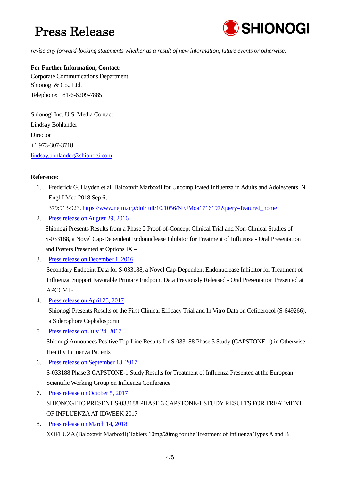

*revise any forward-looking statements whether as a result of new information, future events or otherwise.*

### **For Further Information, Contact:**

Corporate Communications Department Shionogi & Co., Ltd. Telephone: +81-6-6209-7885

Shionogi Inc. U.S. Media Contact Lindsay Bohlander **Director** +1 973-307-3718 [lindsay.bohlander@shionogi.com](mailto:lindsay.bohlander@shionogi.com)

#### **Reference:**

1. Frederick G. Hayden et al. Baloxavir Marboxil for Uncomplicated Influenza in Adults and Adolescents. N Engl J Med 2018 Sep 6;

379:913-923. [https://www.nejm.org/doi/full/10.1056/NEJMoa1716197?query=featured\\_home](https://www.nejm.org/doi/full/10.1056/NEJMoa1716197?query=featured_home)

2. [Press release on August 29,](http://www.shionogi.co.jp/en/company/news/2016/pmrltj0000002zx1-att/e160829.pdf) 2016

Shionogi Presents Results from a Phase 2 Proof-of-Concept Clinical Trial and Non-Clinical Studies of S-033188, a Novel Cap-Dependent Endonuclease Inhibitor for Treatment of Influenza - Oral Presentation and Posters Presented at Options IX –

3. [Press release on December 1,](http://www.shionogi.co.jp/en/company/news/2016/pmrltj00000034lx-att/e161201.pdf) 2016

Secondary Endpoint Data for S-033188, a Novel Cap-Dependent Endonuclease Inhibitor for Treatment of Influenza, Support Favorable Primary Endpoint Data Previously Released - Oral Presentation Presented at APCCMI -

4. [Press release on April 25,](http://www.shionogi.co.jp/en/company/news/2017/pmrltj0000003byn-att/e170425_1.pdf) 2017

Shionogi Presents Results of the First Clinical Efficacy Trial and In Vitro Data on Cefiderocol (S-649266), a Siderophore Cephalosporin

5. [Press release on July](http://www.shionogi.co.jp/en/company/news/2017/pmrltj0000003ft2-att/e170724.pdf) 24, 2017

Shionogi Announces Positive Top-Line Results for S-033188 Phase 3 Study (CAPSTONE-1) in Otherwise Healthy Influenza Patients

- 6. [Press release on September 13,](http://www.shionogi.co.jp/en/company/news/2017/pmrltj0000003hmx-att/e170914.pdf) 2017 S-033188 Phase 3 CAPSTONE-1 Study Results for Treatment of Influenza Presented at the European Scientific Working Group on Influenza Conference
- 7. [Press release on October 5,](http://www.shionogi.co.jp/en/company/news/2017/pmrltj0000003iol-att/e171006.pdf) 2017 SHIONOGI TO PRESENT S-033188 PHASE 3 CAPSTONE-1 STUDY RESULTS FOR TREATMENT OF INFLUENZA AT IDWEEK 2017
- 8. [Press release on March 14,](http://www.shionogi.co.jp/en/company/news/2018/pmrltj0000003oid-att/e180314.pdf) 2018 XOFLUZA (Baloxavir Marboxil) Tablets 10mg/20mg for the Treatment of Influenza Types A and B